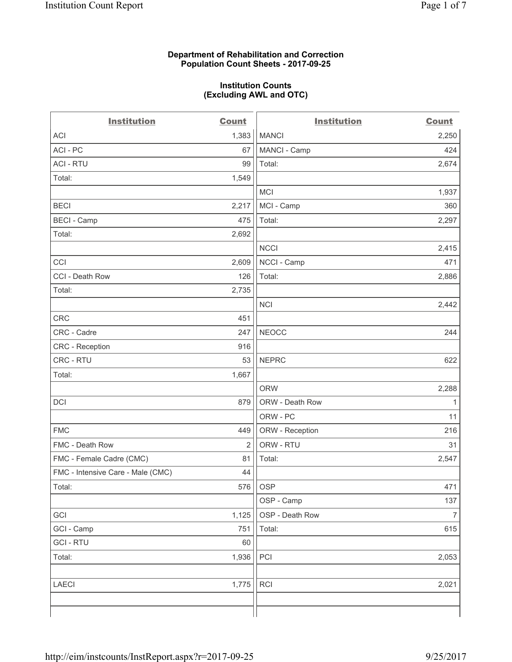#### **Department of Rehabilitation and Correction Population Count Sheets - 2017-09-25**

#### **Institution Counts (Excluding AWL and OTC)**

| <b>Institution</b>                | <b>Count</b>   | <b>Institution</b> | <b>Count</b>   |
|-----------------------------------|----------------|--------------------|----------------|
| ACI                               | 1,383          | <b>MANCI</b>       | 2,250          |
| ACI - PC                          | 67             | MANCI - Camp       | 424            |
| <b>ACI - RTU</b>                  | 99             | Total:             | 2,674          |
| Total:                            | 1,549          |                    |                |
|                                   |                | MCI                | 1,937          |
| <b>BECI</b>                       | 2,217          | MCI - Camp         | 360            |
| <b>BECI - Camp</b>                | 475            | Total:             | 2,297          |
| Total:                            | 2,692          |                    |                |
|                                   |                | <b>NCCI</b>        | 2,415          |
| CCI                               | 2,609          | NCCI - Camp        | 471            |
| CCI - Death Row                   | 126            | Total:             | 2,886          |
| Total:                            | 2,735          |                    |                |
|                                   |                | <b>NCI</b>         | 2,442          |
| <b>CRC</b>                        | 451            |                    |                |
| CRC - Cadre                       | 247            | <b>NEOCC</b>       | 244            |
| <b>CRC</b> - Reception            | 916            |                    |                |
| CRC - RTU                         | 53             | <b>NEPRC</b>       | 622            |
| Total:                            | 1,667          |                    |                |
|                                   |                | <b>ORW</b>         | 2,288          |
| DCI                               | 879            | ORW - Death Row    | 1              |
|                                   |                | ORW - PC           | 11             |
| <b>FMC</b>                        | 449            | ORW - Reception    | 216            |
| FMC - Death Row                   | $\overline{2}$ | ORW - RTU          | 31             |
| FMC - Female Cadre (CMC)          | 81             | Total:             | 2,547          |
| FMC - Intensive Care - Male (CMC) | 44             |                    |                |
| Total:                            | 576            | <b>OSP</b>         | 471            |
|                                   |                | OSP - Camp         | 137            |
| GCI                               | 1,125          | OSP - Death Row    | $\overline{7}$ |
| GCI - Camp                        | 751            | Total:             | 615            |
| <b>GCI-RTU</b>                    | 60             |                    |                |
| Total:                            | 1,936          | PCI                | 2,053          |
| <b>LAECI</b>                      | 1,775          | RCI                | 2,021          |
|                                   |                |                    |                |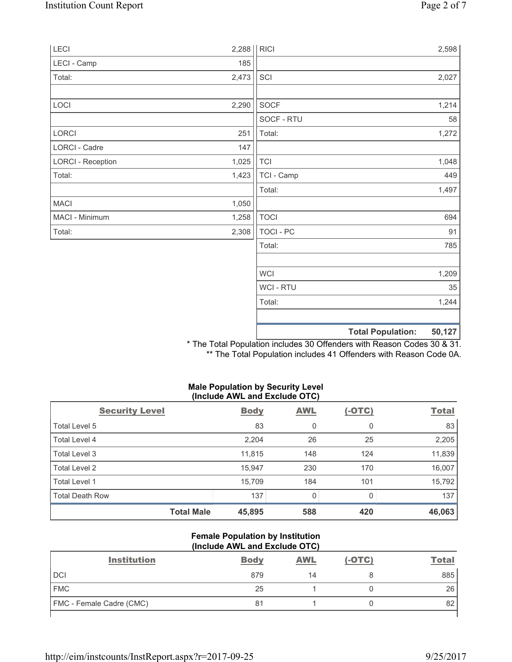| LECI                     | 2,288 | <b>RICI</b>    |                          | 2,598  |
|--------------------------|-------|----------------|--------------------------|--------|
| LECI - Camp              | 185   |                |                          |        |
| Total:                   | 2,473 | SCI            |                          | 2,027  |
| LOCI                     | 2,290 | SOCF           |                          | 1,214  |
|                          |       | SOCF - RTU     |                          | 58     |
| LORCI                    | 251   | Total:         |                          | 1,272  |
| LORCI - Cadre            | 147   |                |                          |        |
| <b>LORCI - Reception</b> | 1,025 | <b>TCI</b>     |                          | 1,048  |
| Total:                   | 1,423 | TCI - Camp     |                          | 449    |
|                          |       | Total:         |                          | 1,497  |
| <b>MACI</b>              | 1,050 |                |                          |        |
| MACI - Minimum           | 1,258 | <b>TOCI</b>    |                          | 694    |
| Total:                   | 2,308 | TOCI - PC      |                          | 91     |
|                          |       | Total:         |                          | 785    |
|                          |       | <b>WCI</b>     |                          | 1,209  |
|                          |       | <b>WCI-RTU</b> |                          | 35     |
|                          |       | Total:         |                          | 1,244  |
|                          |       |                | <b>Total Population:</b> | 50,127 |

\* The Total Population includes 30 Offenders with Reason Codes 30 & 31. \*\* The Total Population includes 41 Offenders with Reason Code 0A.

## **Male Population by Security Level (Include AWL and Exclude OTC)**

| <b>Security Level</b>  | <b>Body</b> | <b>AWL</b> | $(-OTC)$ | <b>Total</b> |
|------------------------|-------------|------------|----------|--------------|
| Total Level 5          | 83          | 0          | 0        | 83           |
| Total Level 4          | 2,204       | 26         | 25       | 2,205        |
| Total Level 3          | 11,815      | 148        | 124      | 11,839       |
| Total Level 2          | 15,947      | 230        | 170      | 16,007       |
| Total Level 1          | 15,709      | 184        | 101      | 15,792       |
| <b>Total Death Row</b> | 137         | 0          |          | 137          |
| <b>Total Male</b>      | 45,895      | 588        | 420      | 46,063       |

#### **Female Population by Institution (Include AWL and Exclude OTC)**

| <b>Institution</b>              | <b>Body</b> | <b>AWL</b> | $(-OTC)$ | <b>Total</b> |
|---------------------------------|-------------|------------|----------|--------------|
| <b>DCI</b>                      | 879         | 14         |          | 885          |
| <b>FMC</b>                      | 25          |            |          | 26           |
| <b>FMC</b> - Female Cadre (CMC) | 81          |            |          | 82           |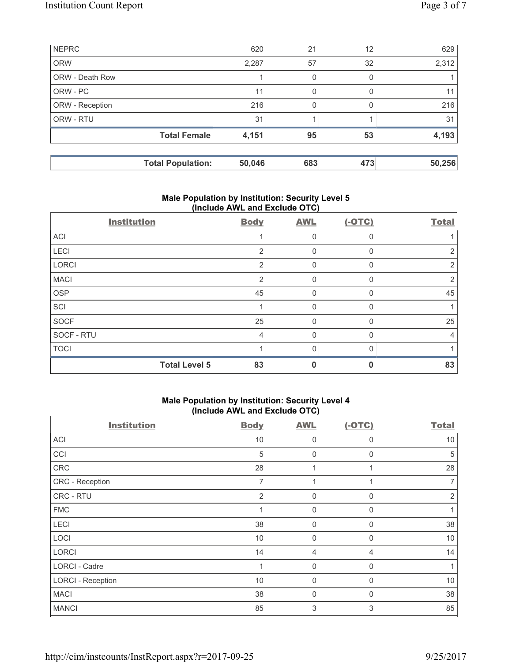|                        | <b>Total Population:</b> | 50,046 | 683 | 473 | 50,256 |
|------------------------|--------------------------|--------|-----|-----|--------|
|                        | <b>Total Female</b>      | 4,151  | 95  | 53  | 4,193  |
| ORW - RTU              |                          | 31     |     |     | 31     |
| ORW - Reception        |                          | 216    | 0   | 0   | 216    |
| ORW - PC               |                          | 11     | 0   |     | 11     |
| <b>ORW - Death Row</b> |                          |        | 0   | O   |        |
| <b>ORW</b>             |                          | 2,287  | 57  | 32  | 2,312  |
| <b>NEPRC</b>           |                          | 620    | 21  | 12  | 629    |

## **Male Population by Institution: Security Level 5 (Include AWL and Exclude OTC)**

| <b>Institution</b>   | <b>Body</b>    | <b>AWL</b> | $(-OTC)$ | <b>Total</b> |
|----------------------|----------------|------------|----------|--------------|
| <b>ACI</b>           |                | 0          |          |              |
| LECI                 | $\overline{2}$ | 0          |          |              |
| <b>LORCI</b>         | $\overline{2}$ | 0          | $\Omega$ | 2            |
| <b>MACI</b>          | $\overline{2}$ | $\Omega$   | $\Omega$ |              |
| <b>OSP</b>           | 45             | 0          |          | 45           |
| SCI                  |                | 0          | $\Omega$ |              |
| <b>SOCF</b>          | 25             | 0          | ∩        | 25           |
| SOCF - RTU           | 4              | U          |          | 4            |
| <b>TOCI</b>          |                | 0          |          |              |
| <b>Total Level 5</b> | 83             |            |          | 83           |

# **Male Population by Institution: Security Level 4 (Include AWL and Exclude OTC)**

| <b>Institution</b>       | <b>Body</b> | <b>AWL</b>  | $(-OTC)$     | <b>Total</b> |
|--------------------------|-------------|-------------|--------------|--------------|
| ACI                      | 10          | 0           | 0            | 10           |
| CCI                      | 5           | $\mathbf 0$ | $\Omega$     | 5            |
| CRC                      | 28          | 1           |              | 28           |
| CRC - Reception          | 7           | 1           |              | 7            |
| CRC - RTU                | 2           | $\mathbf 0$ | $\Omega$     | 2            |
| <b>FMC</b>               |             | $\mathbf 0$ | 0            |              |
| LECI                     | 38          | $\mathbf 0$ | $\mathbf{0}$ | 38           |
| LOCI                     | 10          | $\mathbf 0$ | 0            | 10           |
| <b>LORCI</b>             | 14          | 4           | 4            | 14           |
| LORCI - Cadre            | 4           | 0           | $\mathbf{0}$ |              |
| <b>LORCI - Reception</b> | 10          | $\mathbf 0$ | $\Omega$     | 10           |
| <b>MACI</b>              | 38          | 0           | 0            | 38           |
| <b>MANCI</b>             | 85          | 3           | 3            | 85           |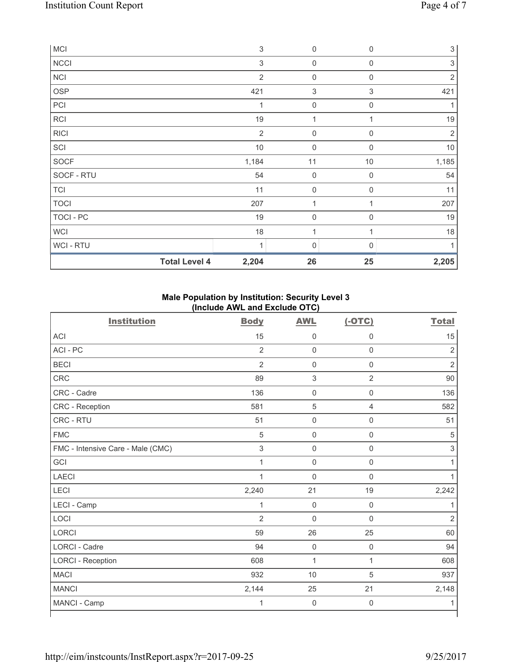| <b>MCI</b>  |                      | $\ensuremath{\mathsf{3}}$ | $\mathsf{O}\xspace$ | $\mathbf 0$  | $\sqrt{3}$                |
|-------------|----------------------|---------------------------|---------------------|--------------|---------------------------|
| <b>NCCI</b> |                      | 3                         | $\mathsf{O}\xspace$ | $\mathbf 0$  | $\ensuremath{\mathsf{3}}$ |
| <b>NCI</b>  |                      | $\overline{2}$            | $\mathsf{O}\xspace$ | $\mathbf 0$  | $\overline{2}$            |
| OSP         |                      | 421                       | 3                   | 3            | 421                       |
| PCI         |                      | 1                         | $\mathsf{O}\xspace$ | $\mathbf 0$  |                           |
| <b>RCI</b>  |                      | 19                        | $\mathbf 1$         |              | 19                        |
| <b>RICI</b> |                      | $\overline{2}$            | $\mathsf{O}\xspace$ | $\mathbf 0$  | $\overline{2}$            |
| SCI         |                      | $10$                      | $\mathsf{O}\xspace$ | $\mathbf 0$  | $10$                      |
| <b>SOCF</b> |                      | 1,184                     | 11                  | $10$         | 1,185                     |
| SOCF - RTU  |                      | 54                        | $\mathsf{O}\xspace$ | $\mathbf 0$  | 54                        |
| <b>TCI</b>  |                      | 11                        | $\mathsf{O}\xspace$ | $\mathbf 0$  | 11                        |
| <b>TOCI</b> |                      | 207                       | 1                   |              | 207                       |
| TOCI - PC   |                      | 19                        | $\mathsf{O}\xspace$ | $\mathbf 0$  | 19                        |
| <b>WCI</b>  |                      | 18                        | 1                   |              | 18                        |
| WCI - RTU   |                      | 1                         | 0                   | $\mathbf{0}$ |                           |
|             | <b>Total Level 4</b> | 2,204                     | 26                  | 25           | 2,205                     |

# **Male Population by Institution: Security Level 3 (Include AWL and Exclude OTC)**

| <b>Institution</b>                | <b>Body</b>    | <b>AWL</b>          | $(-OTC)$            | <b>Total</b>   |
|-----------------------------------|----------------|---------------------|---------------------|----------------|
| <b>ACI</b>                        | 15             | $\mathsf{0}$        | $\mathbf 0$         | 15             |
| ACI-PC                            | $\overline{2}$ | $\mathsf 0$         | $\mathsf 0$         | $\overline{2}$ |
| <b>BECI</b>                       | $\overline{2}$ | $\mathbf 0$         | $\mathsf 0$         | $\overline{2}$ |
| <b>CRC</b>                        | 89             | $\sqrt{3}$          | $\overline{2}$      | $90\,$         |
| CRC - Cadre                       | 136            | $\mathsf{O}\xspace$ | $\mathsf{O}\xspace$ | 136            |
| CRC - Reception                   | 581            | $\sqrt{5}$          | 4                   | 582            |
| CRC - RTU                         | 51             | $\mathbf 0$         | $\mathsf{O}\xspace$ | 51             |
| <b>FMC</b>                        | 5              | $\mathbf 0$         | $\mathsf 0$         | 5              |
| FMC - Intensive Care - Male (CMC) | $\mathsf 3$    | $\mathbf 0$         | $\mathsf 0$         | $\sqrt{3}$     |
| GCI                               | 1              | $\mathsf{O}\xspace$ | $\mathsf{O}\xspace$ | 1              |
| <b>LAECI</b>                      | 1              | $\mathbf 0$         | $\mathsf 0$         | $\mathbf{1}$   |
| LECI                              | 2,240          | 21                  | 19                  | 2,242          |
| LECI - Camp                       | 1              | $\mathbf 0$         | $\mathsf{O}\xspace$ | 1              |
| LOCI                              | $\overline{2}$ | 0                   | $\mathsf 0$         | $\overline{2}$ |
| <b>LORCI</b>                      | 59             | 26                  | 25                  | 60             |
| LORCI - Cadre                     | 94             | $\mathbf 0$         | $\mathsf{O}\xspace$ | 94             |
| <b>LORCI - Reception</b>          | 608            | $\mathbf{1}$        | 1                   | 608            |
| <b>MACI</b>                       | 932            | 10                  | 5                   | 937            |
| <b>MANCI</b>                      | 2,144          | 25                  | 21                  | 2,148          |
| MANCI - Camp                      | 1              | $\mathbf 0$         | 0                   | 1              |

٦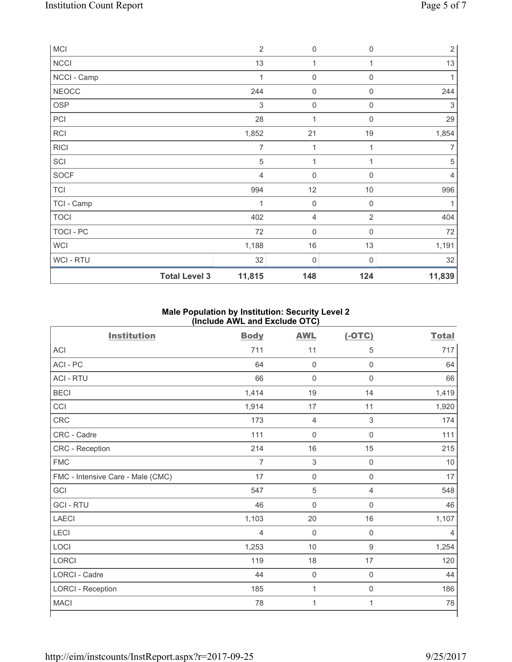| <b>MCI</b>           | $\overline{2}$ | $\mathsf{0}$        | $\mathbf 0$      | $\sqrt{2}$     |
|----------------------|----------------|---------------------|------------------|----------------|
| <b>NCCI</b>          | 13             | 1                   |                  | 13             |
| NCCI - Camp          | 1              | $\mathsf{O}\xspace$ | $\boldsymbol{0}$ | 1              |
| <b>NEOCC</b>         | 244            | 0                   | $\mathbf 0$      | 244            |
| <b>OSP</b>           | 3              | $\mathbf 0$         | $\mathbf 0$      | 3              |
| PCI                  | 28             | $\mathbf 1$         | $\boldsymbol{0}$ | 29             |
| <b>RCI</b>           | 1,852          | 21                  | 19               | 1,854          |
| <b>RICI</b>          | $\overline{7}$ | 1                   | 1                | 7              |
| SCI                  | $\sqrt{5}$     | $\mathbf{1}$        | 1                | $\sqrt{5}$     |
| SOCF                 | 4              | 0                   | $\mathbf 0$      | $\overline{4}$ |
| <b>TCI</b>           | 994            | 12                  | $10$             | 996            |
| TCI - Camp           | 1              | $\mathsf{O}\xspace$ | $\boldsymbol{0}$ |                |
| <b>TOCI</b>          | 402            | 4                   | $\overline{2}$   | 404            |
| <b>TOCI - PC</b>     | 72             | $\mathsf{O}\xspace$ | $\mathbf 0$      | 72             |
| <b>WCI</b>           | 1,188          | $16\,$              | 13               | 1,191          |
| <b>WCI-RTU</b>       | 32             | $\mathsf 0$         | 0                | 32             |
| <b>Total Level 3</b> | 11,815         | 148                 | 124              | 11,839         |

## **Male Population by Institution: Security Level 2 (Include AWL and Exclude OTC)**

| 711<br>64<br>66 | 11<br>$\mathbf 0$ | 5<br>$\mathsf{O}\xspace$ | 717   |
|-----------------|-------------------|--------------------------|-------|
|                 |                   |                          |       |
|                 |                   |                          | 64    |
|                 | $\mathbf 0$       | $\mathsf{O}\xspace$      | 66    |
| 1,414           | 19                | 14                       | 1,419 |
| 1,914           | 17                | 11                       | 1,920 |
| 173             | 4                 | $\,$ 3 $\,$              | 174   |
| 111             | $\mathbf 0$       | $\mathsf 0$              | 111   |
| 214             | 16                | 15                       | 215   |
| $\overline{7}$  | 3                 | $\mathbf 0$              | 10    |
| 17              | $\mathbf 0$       | $\mathsf{O}\xspace$      | 17    |
| 547             | $\sqrt{5}$        | $\overline{4}$           | 548   |
| 46              | $\mathbf 0$       | $\mathbf 0$              | 46    |
| 1,103           | 20                | 16                       | 1,107 |
| $\overline{4}$  | $\mathbf 0$       | $\mathbf 0$              | 4     |
| 1,253           | 10                | 9                        | 1,254 |
| 119             | 18                | 17                       | 120   |
| 44              | $\mathbf 0$       | $\mathsf 0$              | 44    |
| 185             | 1                 | $\mathsf{O}\xspace$      | 186   |
| 78              | 1                 | $\mathbf{1}$             | 78    |
|                 |                   |                          |       |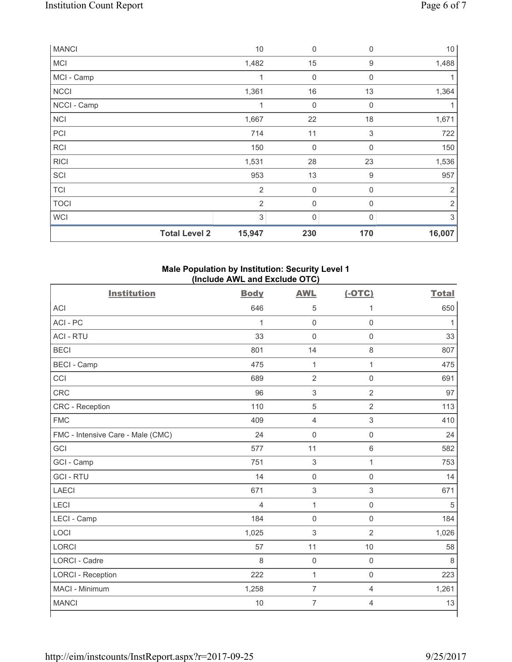| <b>MANCI</b>         | $10$           | $\mathbf 0$      | 0           | 10             |
|----------------------|----------------|------------------|-------------|----------------|
| MCI                  | 1,482          | 15               | 9           | 1,488          |
| MCI - Camp           | 1              | 0                | $\Omega$    |                |
| <b>NCCI</b>          | 1,361          | 16               | 13          | 1,364          |
| NCCI - Camp          | 1              | $\boldsymbol{0}$ | $\mathbf 0$ |                |
| <b>NCI</b>           | 1,667          | 22               | 18          | 1,671          |
| PCI                  | 714            | 11               | $\mathsf 3$ | 722            |
| RCI                  | 150            | $\mathbf 0$      | $\mathbf 0$ | 150            |
| <b>RICI</b>          | 1,531          | 28               | 23          | 1,536          |
| SCI                  | 953            | 13               | $9\,$       | 957            |
| <b>TCI</b>           | 2              | $\mathbf 0$      | 0           | $\overline{2}$ |
| <b>TOCI</b>          | $\overline{2}$ | $\mathbf 0$      | 0           | $\overline{2}$ |
| <b>WCI</b>           | 3              | $\mathbf 0$      | $\Omega$    | 3              |
| <b>Total Level 2</b> | 15,947         | 230              | 170         | 16,007         |

## **Male Population by Institution: Security Level 1 (Include AWL and Exclude OTC)**

| <b>Institution</b>                | <b>Body</b>    | <b>AWL</b>          | $(-OTC)$            | <b>Total</b> |
|-----------------------------------|----------------|---------------------|---------------------|--------------|
| <b>ACI</b>                        | 646            | 5                   | 1                   | 650          |
| ACI-PC                            | $\mathbf{1}$   | $\mathbf 0$         | $\mathsf{O}\xspace$ | 1            |
| <b>ACI - RTU</b>                  | 33             | $\mathbf 0$         | $\mathbf 0$         | 33           |
| <b>BECI</b>                       | 801            | 14                  | $\,8\,$             | 807          |
| <b>BECI - Camp</b>                | 475            | $\mathbf{1}$        | $\mathbf{1}$        | 475          |
| CCI                               | 689            | $\overline{2}$      | $\mathbf 0$         | 691          |
| <b>CRC</b>                        | 96             | $\sqrt{3}$          | $\overline{2}$      | 97           |
| <b>CRC</b> - Reception            | 110            | $\sqrt{5}$          | $\overline{2}$      | 113          |
| <b>FMC</b>                        | 409            | $\overline{4}$      | 3                   | 410          |
| FMC - Intensive Care - Male (CMC) | 24             | $\mathsf{O}\xspace$ | $\mathsf 0$         | 24           |
| GCI                               | 577            | 11                  | $6\,$               | 582          |
| GCI - Camp                        | 751            | $\sqrt{3}$          | $\mathbf{1}$        | 753          |
| <b>GCI-RTU</b>                    | 14             | $\mathsf{O}\xspace$ | $\mathbf 0$         | 14           |
| <b>LAECI</b>                      | 671            | $\sqrt{3}$          | $\mathsf 3$         | 671          |
| LECI                              | $\overline{4}$ | $\mathbf{1}$        | $\mathsf 0$         | 5            |
| LECI - Camp                       | 184            | $\mathbf 0$         | $\mathsf 0$         | 184          |
| LOCI                              | 1,025          | $\mathbf{3}$        | $\overline{2}$      | 1,026        |
| <b>LORCI</b>                      | 57             | 11                  | 10                  | 58           |
| <b>LORCI - Cadre</b>              | 8              | $\mathsf{O}\xspace$ | $\mathsf 0$         | 8            |
| <b>LORCI - Reception</b>          | 222            | $\mathbf{1}$        | $\mathsf 0$         | 223          |
| MACI - Minimum                    | 1,258          | $\overline{7}$      | $\overline{4}$      | 1,261        |
| <b>MANCI</b>                      | 10             | $\overline{7}$      | 4                   | 13           |